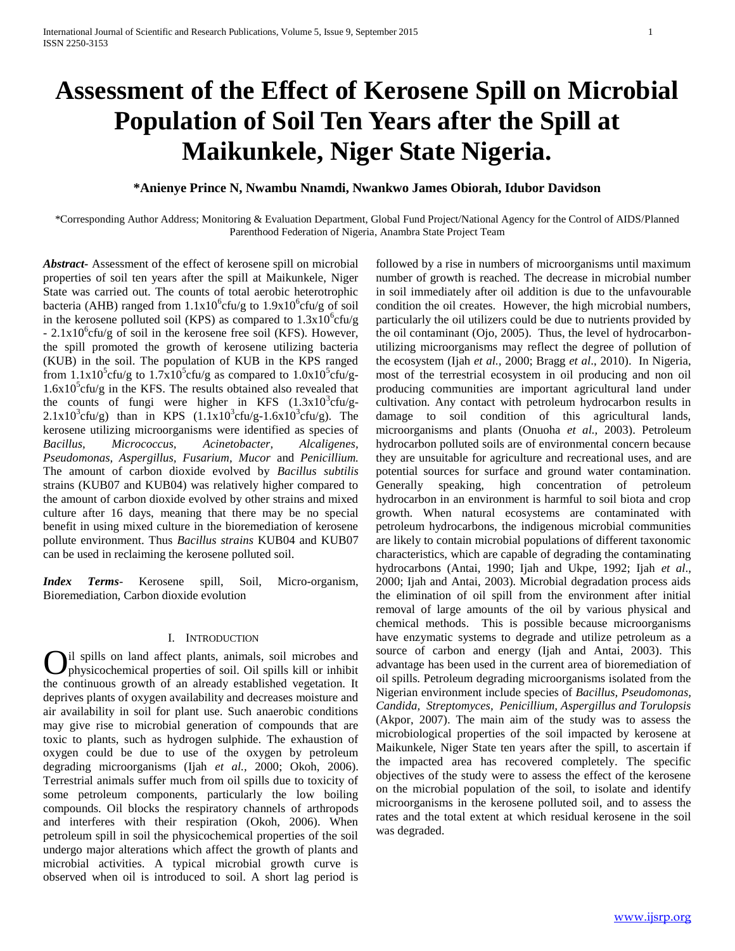# **Assessment of the Effect of Kerosene Spill on Microbial Population of Soil Ten Years after the Spill at Maikunkele, Niger State Nigeria.**

## **\*Anienye Prince N, Nwambu Nnamdi, Nwankwo James Obiorah, Idubor Davidson**

\*Corresponding Author Address; Monitoring & Evaluation Department, Global Fund Project/National Agency for the Control of AIDS/Planned Parenthood Federation of Nigeria, Anambra State Project Team

*Abstract***-** Assessment of the effect of kerosene spill on microbial properties of soil ten years after the spill at Maikunkele, Niger State was carried out. The counts of total aerobic heterotrophic bacteria (AHB) ranged from  $1.1x10^6$ cfu/g to  $1.9x10^6$ cfu/g of soil in the kerosene polluted soil (KPS) as compared to  $1.3x10^6$ cfu/g  $- 2.1x10^6$ cfu/g of soil in the kerosene free soil (KFS). However, the spill promoted the growth of kerosene utilizing bacteria (KUB) in the soil. The population of KUB in the KPS ranged from  $1.1x10^5$ cfu/g to  $1.7x10^5$ cfu/g as compared to  $1.0x10^5$ cfu/g- $1.6x10<sup>5</sup>$ cfu/g in the KFS. The results obtained also revealed that the counts of fungi were higher in KFS  $(1.3x10^3c$ fu/g- $2.1 \times 10^{3}$ cfu/g) than in KPS  $(1.1 \times 10^{3}$ cfu/g-1.6x10<sup>3</sup>cfu/g). The kerosene utilizing microorganisms were identified as species of *Bacillus, Micrococcus, Acinetobacter, Alcaligenes, Pseudomonas, Aspergillus, Fusarium, Mucor* and *Penicillium.*  The amount of carbon dioxide evolved by *Bacillus subtilis*  strains (KUB07 and KUB04) was relatively higher compared to the amount of carbon dioxide evolved by other strains and mixed culture after 16 days, meaning that there may be no special benefit in using mixed culture in the bioremediation of kerosene pollute environment. Thus *Bacillus strains* KUB04 and KUB07 can be used in reclaiming the kerosene polluted soil.

*Index Terms*- Kerosene spill, Soil, Micro-organism, Bioremediation, Carbon dioxide evolution

## I. INTRODUCTION

il spills on land affect plants, animals, soil microbes and physicochemical properties of soil. Oil spills kill or inhibit the continuous growth of an already established vegetation. It deprives plants of oxygen availability and decreases moisture and air availability in soil for plant use. Such anaerobic conditions may give rise to microbial generation of compounds that are toxic to plants, such as hydrogen sulphide. The exhaustion of oxygen could be due to use of the oxygen by petroleum degrading microorganisms (Ijah *et al.,* 2000; Okoh, 2006). Terrestrial animals suffer much from oil spills due to toxicity of some petroleum components, particularly the low boiling compounds. Oil blocks the respiratory channels of arthropods and interferes with their respiration (Okoh, 2006). When petroleum spill in soil the physicochemical properties of the soil undergo major alterations which affect the growth of plants and microbial activities. A typical microbial growth curve is observed when oil is introduced to soil. A short lag period is O

followed by a rise in numbers of microorganisms until maximum number of growth is reached. The decrease in microbial number in soil immediately after oil addition is due to the unfavourable condition the oil creates. However, the high microbial numbers, particularly the oil utilizers could be due to nutrients provided by the oil contaminant (Ojo, 2005). Thus, the level of hydrocarbonutilizing microorganisms may reflect the degree of pollution of the ecosystem (Ijah *et al.,* 2000; Bragg *et al*., 2010). In Nigeria, most of the terrestrial ecosystem in oil producing and non oil producing communities are important agricultural land under cultivation. Any contact with petroleum hydrocarbon results in damage to soil condition of this agricultural lands, microorganisms and plants (Onuoha *et al.,* 2003). Petroleum hydrocarbon polluted soils are of environmental concern because they are unsuitable for agriculture and recreational uses, and are potential sources for surface and ground water contamination. Generally speaking, high concentration of petroleum hydrocarbon in an environment is harmful to soil biota and crop growth. When natural ecosystems are contaminated with petroleum hydrocarbons, the indigenous microbial communities are likely to contain microbial populations of different taxonomic characteristics, which are capable of degrading the contaminating hydrocarbons (Antai, 1990; Ijah and Ukpe, 1992; Ijah *et al*., 2000; Ijah and Antai, 2003). Microbial degradation process aids the elimination of oil spill from the environment after initial removal of large amounts of the oil by various physical and chemical methods. This is possible because microorganisms have enzymatic systems to degrade and utilize petroleum as a source of carbon and energy (Ijah and Antai, 2003). This advantage has been used in the current area of bioremediation of oil spills. Petroleum degrading microorganisms isolated from the Nigerian environment include species of *Bacillus, Pseudomonas, Candida, Streptomyces, Penicillium, Aspergillus and Torulopsis* (Akpor, 2007). The main aim of the study was to assess the microbiological properties of the soil impacted by kerosene at Maikunkele, Niger State ten years after the spill, to ascertain if the impacted area has recovered completely. The specific objectives of the study were to assess the effect of the kerosene on the microbial population of the soil, to isolate and identify microorganisms in the kerosene polluted soil, and to assess the rates and the total extent at which residual kerosene in the soil was degraded.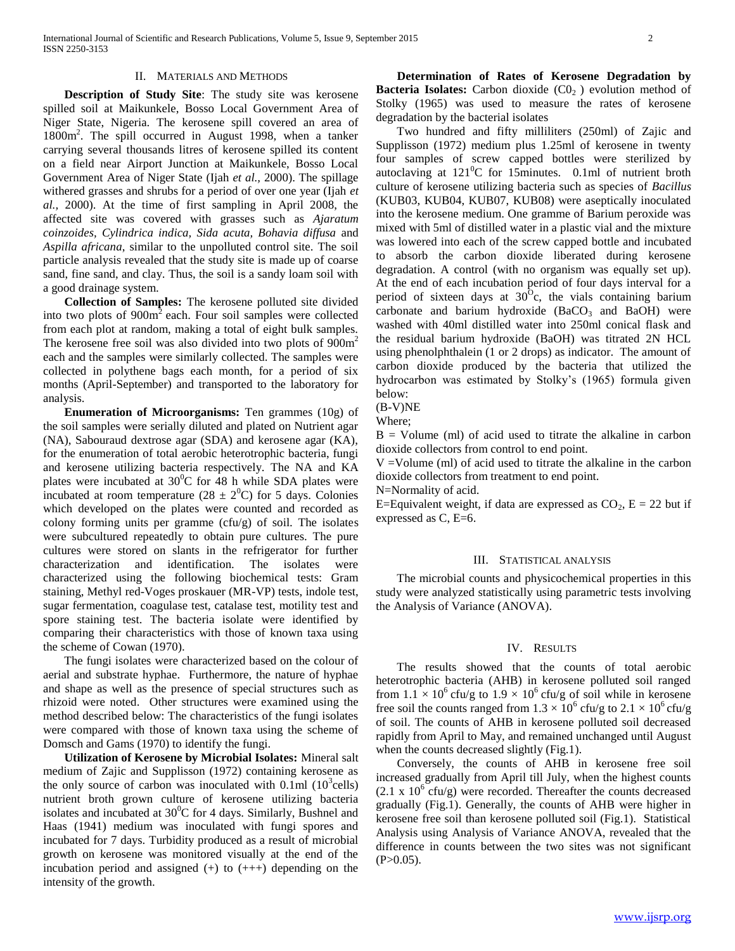#### II. MATERIALS AND METHODS

 **Description of Study Site**: The study site was kerosene spilled soil at Maikunkele, Bosso Local Government Area of Niger State, Nigeria. The kerosene spill covered an area of 1800m<sup>2</sup> . The spill occurred in August 1998, when a tanker carrying several thousands litres of kerosene spilled its content on a field near Airport Junction at Maikunkele, Bosso Local Government Area of Niger State (Ijah *et al.,* 2000). The spillage withered grasses and shrubs for a period of over one year (Ijah *et al.,* 2000). At the time of first sampling in April 2008, the affected site was covered with grasses such as *Ajaratum coinzoides, Cylindrica indica, Sida acuta, Bohavia diffusa* and *Aspilla africana*, similar to the unpolluted control site. The soil particle analysis revealed that the study site is made up of coarse sand, fine sand, and clay. Thus, the soil is a sandy loam soil with a good drainage system.

 **Collection of Samples:** The kerosene polluted site divided into two plots of  $900m<sup>2</sup>$  each. Four soil samples were collected from each plot at random, making a total of eight bulk samples. The kerosene free soil was also divided into two plots of  $900m<sup>2</sup>$ each and the samples were similarly collected. The samples were collected in polythene bags each month, for a period of six months (April-September) and transported to the laboratory for analysis.

 **Enumeration of Microorganisms:** Ten grammes (10g) of the soil samples were serially diluted and plated on Nutrient agar (NA), Sabouraud dextrose agar (SDA) and kerosene agar (KA), for the enumeration of total aerobic heterotrophic bacteria, fungi and kerosene utilizing bacteria respectively. The NA and KA plates were incubated at  $30^{\circ}$ C for 48 h while SDA plates were incubated at room temperature (28  $\pm$  2<sup>0</sup>C) for 5 days. Colonies which developed on the plates were counted and recorded as colony forming units per gramme (cfu/g) of soil. The isolates were subcultured repeatedly to obtain pure cultures. The pure cultures were stored on slants in the refrigerator for further characterization and identification. The isolates were characterized using the following biochemical tests: Gram staining, Methyl red-Voges proskauer (MR-VP) tests, indole test, sugar fermentation, coagulase test, catalase test, motility test and spore staining test. The bacteria isolate were identified by comparing their characteristics with those of known taxa using the scheme of Cowan (1970).

The fungi isolates were characterized based on the colour of aerial and substrate hyphae. Furthermore, the nature of hyphae and shape as well as the presence of special structures such as rhizoid were noted. Other structures were examined using the method described below: The characteristics of the fungi isolates were compared with those of known taxa using the scheme of Domsch and Gams (1970) to identify the fungi.

 **Utilization of Kerosene by Microbial Isolates:** Mineral salt medium of Zajic and Supplisson (1972) containing kerosene as the only source of carbon was inoculated with  $0.1$ ml  $(10^3$ cells) nutrient broth grown culture of kerosene utilizing bacteria isolates and incubated at  $30^{\circ}$ C for 4 days. Similarly, Bushnel and Haas (1941) medium was inoculated with fungi spores and incubated for 7 days. Turbidity produced as a result of microbial growth on kerosene was monitored visually at the end of the incubation period and assigned  $(+)$  to  $(++)$  depending on the intensity of the growth.

 **Determination of Rates of Kerosene Degradation by Bacteria Isolates:** Carbon dioxide  $(C0<sub>2</sub>)$  evolution method of Stolky (1965) was used to measure the rates of kerosene degradation by the bacterial isolates

Two hundred and fifty milliliters (250ml) of Zajic and Supplisson (1972) medium plus 1.25ml of kerosene in twenty four samples of screw capped bottles were sterilized by autoclaving at  $121^0C$  for 15minutes. 0.1ml of nutrient broth culture of kerosene utilizing bacteria such as species of *Bacillus* (KUB03, KUB04, KUB07, KUB08) were aseptically inoculated into the kerosene medium. One gramme of Barium peroxide was mixed with 5ml of distilled water in a plastic vial and the mixture was lowered into each of the screw capped bottle and incubated to absorb the carbon dioxide liberated during kerosene degradation. A control (with no organism was equally set up). At the end of each incubation period of four days interval for a period of sixteen days at  $30^{\circ}$ c, the vials containing barium carbonate and barium hydroxide  $(BaCO<sub>3</sub>$  and BaOH) were washed with 40ml distilled water into 250ml conical flask and the residual barium hydroxide (BaOH) was titrated 2N HCL using phenolphthalein (1 or 2 drops) as indicator. The amount of carbon dioxide produced by the bacteria that utilized the hydrocarbon was estimated by Stolky's (1965) formula given below:

(B-V)NE

Where;

 $B =$  Volume (ml) of acid used to titrate the alkaline in carbon dioxide collectors from control to end point.

V =Volume (ml) of acid used to titrate the alkaline in the carbon dioxide collectors from treatment to end point.

N=Normality of acid.

E=Equivalent weight, if data are expressed as  $CO_2$ , E = 22 but if expressed as C, E=6.

#### III. STATISTICAL ANALYSIS

The microbial counts and physicochemical properties in this study were analyzed statistically using parametric tests involving the Analysis of Variance (ANOVA).

### IV. RESULTS

The results showed that the counts of total aerobic heterotrophic bacteria (AHB) in kerosene polluted soil ranged from  $1.1 \times 10^6$  cfu/g to  $1.9 \times 10^6$  cfu/g of soil while in kerosene free soil the counts ranged from  $1.3 \times 10^6$  cfu/g to  $2.1 \times 10^6$  cfu/g of soil. The counts of AHB in kerosene polluted soil decreased rapidly from April to May, and remained unchanged until August when the counts decreased slightly (Fig.1).

Conversely, the counts of AHB in kerosene free soil increased gradually from April till July, when the highest counts  $(2.1 \times 10^{6} \text{ cftu/g})$  were recorded. Thereafter the counts decreased gradually (Fig.1). Generally, the counts of AHB were higher in kerosene free soil than kerosene polluted soil (Fig.1). Statistical Analysis using Analysis of Variance ANOVA, revealed that the difference in counts between the two sites was not significant  $(P>0.05)$ .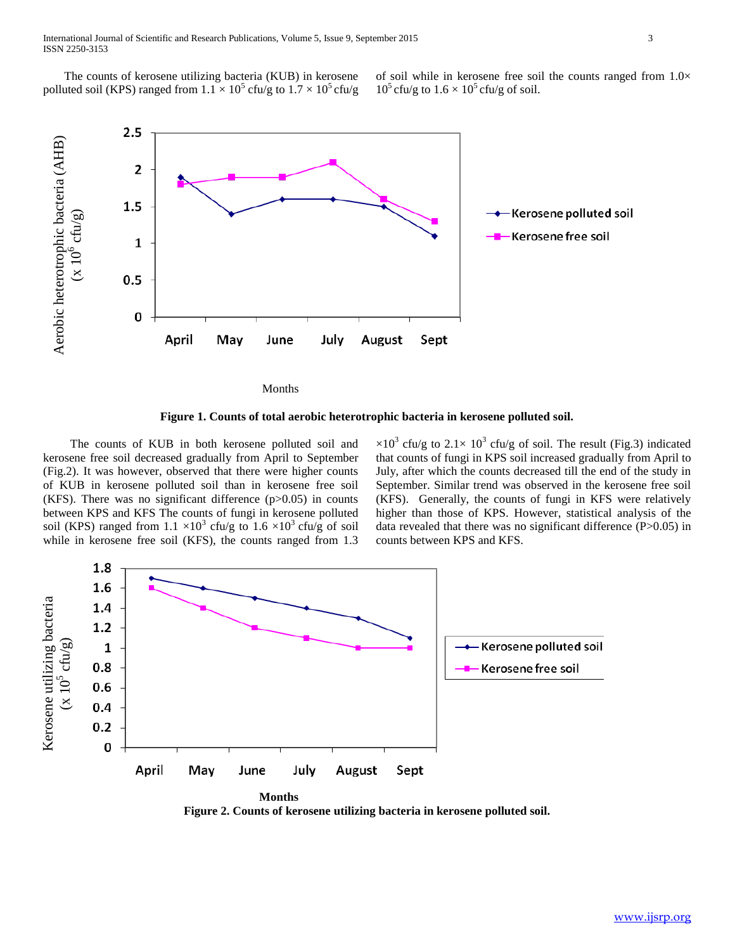International Journal of Scientific and Research Publications, Volume 5, Issue 9, September 2015 3 ISSN 2250-3153

The counts of kerosene utilizing bacteria (KUB) in kerosene polluted soil (KPS) ranged from  $1.1 \times 10^5$  cfu/g to  $1.7 \times 10^5$  cfu/g of soil while in kerosene free soil the counts ranged from  $1.0\times$  $10^5$  cfu/g to  $1.6 \times 10^5$  cfu/g of soil.



Months

**Figure 1. Counts of total aerobic heterotrophic bacteria in kerosene polluted soil.**

 The counts of KUB in both kerosene polluted soil and kerosene free soil decreased gradually from April to September (Fig.2). It was however, observed that there were higher counts of KUB in kerosene polluted soil than in kerosene free soil (KFS). There was no significant difference  $(p>0.05)$  in counts between KPS and KFS The counts of fungi in kerosene polluted soil (KPS) ranged from  $1.1 \times 10^3$  cfu/g to  $1.6 \times 10^3$  cfu/g of soil while in kerosene free soil (KFS), the counts ranged from 1.3

 $\times 10^3$  cfu/g to 2.1 $\times$  10<sup>3</sup> cfu/g of soil. The result (Fig.3) indicated that counts of fungi in KPS soil increased gradually from April to July, after which the counts decreased till the end of the study in September. Similar trend was observed in the kerosene free soil (KFS). Generally, the counts of fungi in KFS were relatively higher than those of KPS. However, statistical analysis of the data revealed that there was no significant difference (P>0.05) in counts between KPS and KFS.



**Figure 2. Counts of kerosene utilizing bacteria in kerosene polluted soil.**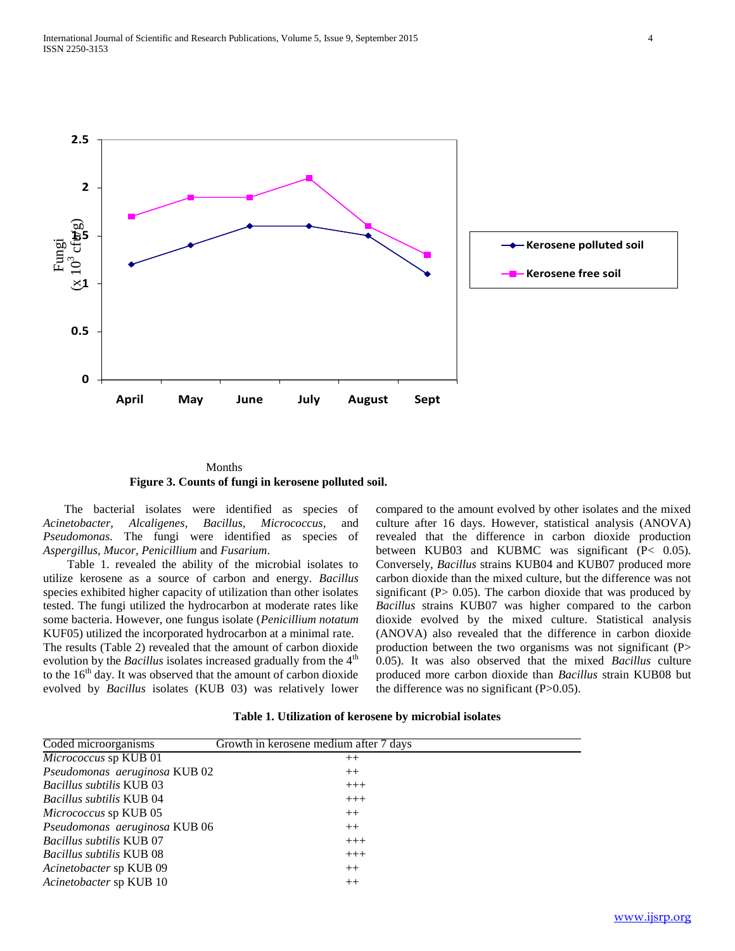

 Months **Figure 3. Counts of fungi in kerosene polluted soil.**

The bacterial isolates were identified as species of *Acinetobacter, Alcaligenes*, *Bacillus, Micrococcus*, and *Pseudomonas.* The fungi were identified as species of *Aspergillus, Mucor, Penicillium* and *Fusarium*.

Table 1. revealed the ability of the microbial isolates to utilize kerosene as a source of carbon and energy. *Bacillus*  species exhibited higher capacity of utilization than other isolates tested. The fungi utilized the hydrocarbon at moderate rates like some bacteria. However, one fungus isolate (*Penicillium notatum* KUF05) utilized the incorporated hydrocarbon at a minimal rate. The results (Table 2) revealed that the amount of carbon dioxide evolution by the *Bacillus* isolates increased gradually from the 4<sup>th</sup> to the  $16<sup>th</sup>$  day. It was observed that the amount of carbon dioxide evolved by *Bacillus* isolates (KUB 03) was relatively lower compared to the amount evolved by other isolates and the mixed culture after 16 days. However, statistical analysis (ANOVA) revealed that the difference in carbon dioxide production between KUB03 and KUBMC was significant (P< 0.05). Conversely, *Bacillus* strains KUB04 and KUB07 produced more carbon dioxide than the mixed culture, but the difference was not significant ( $P$ > 0.05). The carbon dioxide that was produced by *Bacillus* strains KUB07 was higher compared to the carbon dioxide evolved by the mixed culture. Statistical analysis (ANOVA) also revealed that the difference in carbon dioxide production between the two organisms was not significant (P> 0.05). It was also observed that the mixed *Bacillus* culture produced more carbon dioxide than *Bacillus* strain KUB08 but the difference was no significant  $(P>0.05)$ .

|          |         | Growth in kerosene medium after 7 days |
|----------|---------|----------------------------------------|
| $\theta$ |         |                                        |
|          | _____ _ |                                        |

**Table 1. Utilization of kerosene by microbial isolates**

| Coded microorganisms            | Growth in kerosene medium after 7 days |
|---------------------------------|----------------------------------------|
| Micrococcus sp KUB 01           | $++$                                   |
| Pseudomonas aeruginosa KUB 02   | $++$                                   |
| <i>Bacillus subtilis KUB 03</i> | $+++$                                  |
| <i>Bacillus subtilis KUB 04</i> | $+++$                                  |
| <i>Micrococcus</i> sp KUB 05    | $++$                                   |
| Pseudomonas aeruginosa KUB 06   | $++$                                   |
| Bacillus subtilis KUB 07        | $+++$                                  |
| <i>Bacillus subtilis KUB 08</i> | $+++$                                  |
| Acinetobacter sp KUB 09         | $++$                                   |
| Acinetobacter sp KUB 10         | $++$                                   |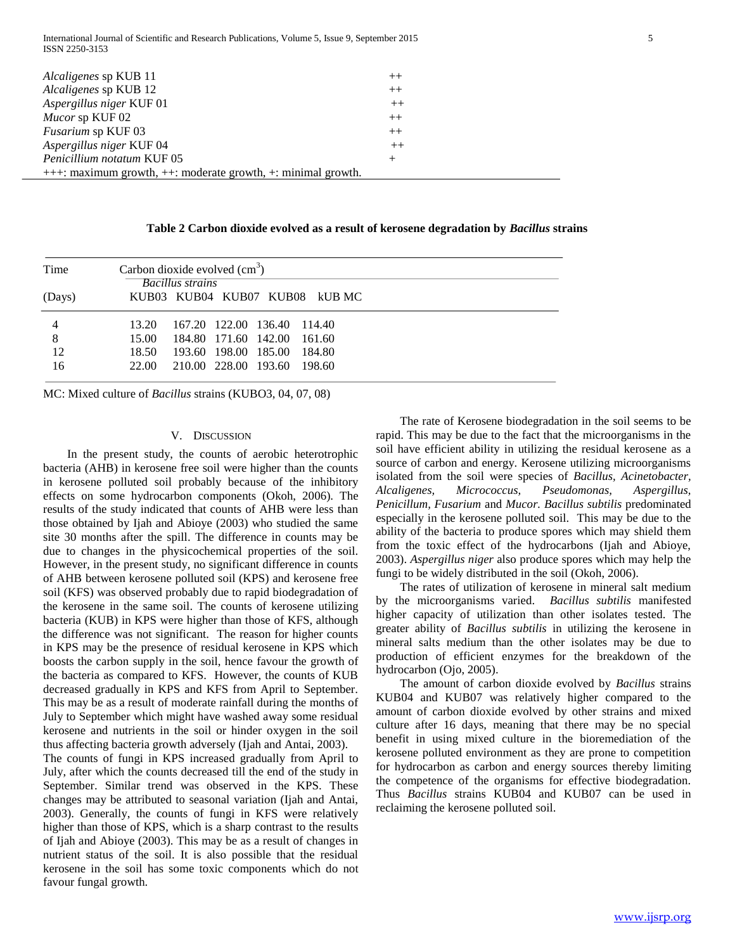International Journal of Scientific and Research Publications, Volume 5, Issue 9, September 2015 5 ISSN 2250-3153

| <i>Alcaligenes</i> sp KUB 11                                         | $^{++}$ |  |  |  |
|----------------------------------------------------------------------|---------|--|--|--|
| Alcaligenes sp KUB 12                                                | $++$    |  |  |  |
| Aspergillus niger KUF 01                                             | $++$    |  |  |  |
| Mucor sp KUF 02                                                      | $++$    |  |  |  |
| <i>Fusarium</i> sp KUF 03                                            | $^{++}$ |  |  |  |
| Aspergillus niger KUF 04                                             | $++$    |  |  |  |
| Penicillium notatum KUF 05                                           | $^{+}$  |  |  |  |
| $++$ : maximum growth, $++$ : moderate growth, $+$ : minimal growth. |         |  |  |  |

**Table 2 Carbon dioxide evolved as a result of kerosene degradation by** *Bacillus* **strains**

| Time   | Carbon dioxide evolved $(cm3)$<br><b>Bacillus strains</b><br>KUB03 KUB04 KUB07 KUB08 kUBMC |          |  |  |  |
|--------|--------------------------------------------------------------------------------------------|----------|--|--|--|
| (Days) |                                                                                            |          |  |  |  |
|        | 167.20 122.00 136.40 114.40<br>13.20                                                       |          |  |  |  |
| 8      | 184.80 171.60 142.00<br>15.00                                                              | - 161.60 |  |  |  |
| 12     | 193.60 198.00 185.00<br>18.50                                                              | 184.80   |  |  |  |
| 16     | 210.00 228.00 193.60<br>22.00                                                              | - 198.60 |  |  |  |

MC: Mixed culture of *Bacillus* strains (KUBO3, 04, 07, 08)

## V. DISCUSSION

 In the present study, the counts of aerobic heterotrophic bacteria (AHB) in kerosene free soil were higher than the counts in kerosene polluted soil probably because of the inhibitory effects on some hydrocarbon components (Okoh, 2006). The results of the study indicated that counts of AHB were less than those obtained by Ijah and Abioye (2003) who studied the same site 30 months after the spill. The difference in counts may be due to changes in the physicochemical properties of the soil. However, in the present study, no significant difference in counts of AHB between kerosene polluted soil (KPS) and kerosene free soil (KFS) was observed probably due to rapid biodegradation of the kerosene in the same soil. The counts of kerosene utilizing bacteria (KUB) in KPS were higher than those of KFS, although the difference was not significant. The reason for higher counts in KPS may be the presence of residual kerosene in KPS which boosts the carbon supply in the soil, hence favour the growth of the bacteria as compared to KFS. However, the counts of KUB decreased gradually in KPS and KFS from April to September. This may be as a result of moderate rainfall during the months of July to September which might have washed away some residual kerosene and nutrients in the soil or hinder oxygen in the soil thus affecting bacteria growth adversely (Ijah and Antai, 2003).

The counts of fungi in KPS increased gradually from April to July, after which the counts decreased till the end of the study in September. Similar trend was observed in the KPS. These changes may be attributed to seasonal variation (Ijah and Antai, 2003). Generally, the counts of fungi in KFS were relatively higher than those of KPS, which is a sharp contrast to the results of Ijah and Abioye (2003). This may be as a result of changes in nutrient status of the soil. It is also possible that the residual kerosene in the soil has some toxic components which do not favour fungal growth.

 The rate of Kerosene biodegradation in the soil seems to be rapid. This may be due to the fact that the microorganisms in the soil have efficient ability in utilizing the residual kerosene as a source of carbon and energy. Kerosene utilizing microorganisms isolated from the soil were species of *Bacillus, Acinetobacter, Alcaligenes, Micrococcus, Pseudomonas, Aspergillus, Penicillum, Fusarium* and *Mucor. Bacillus subtilis* predominated especially in the kerosene polluted soil. This may be due to the ability of the bacteria to produce spores which may shield them from the toxic effect of the hydrocarbons (Ijah and Abioye, 2003). *Aspergillus niger* also produce spores which may help the fungi to be widely distributed in the soil (Okoh, 2006).

 The rates of utilization of kerosene in mineral salt medium by the microorganisms varied. *Bacillus subtilis* manifested higher capacity of utilization than other isolates tested. The greater ability of *Bacillus subtilis* in utilizing the kerosene in mineral salts medium than the other isolates may be due to production of efficient enzymes for the breakdown of the hydrocarbon (Ojo, 2005).

 The amount of carbon dioxide evolved by *Bacillus* strains KUB04 and KUB07 was relatively higher compared to the amount of carbon dioxide evolved by other strains and mixed culture after 16 days, meaning that there may be no special benefit in using mixed culture in the bioremediation of the kerosene polluted environment as they are prone to competition for hydrocarbon as carbon and energy sources thereby limiting the competence of the organisms for effective biodegradation. Thus *Bacillus* strains KUB04 and KUB07 can be used in reclaiming the kerosene polluted soil.